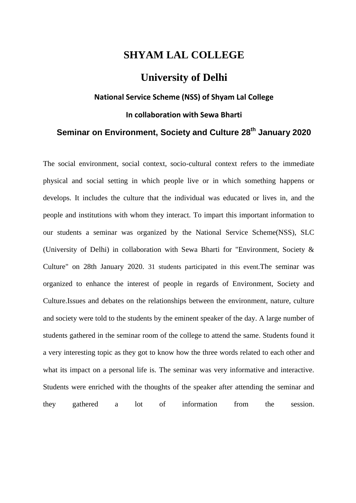## **SHYAM LAL COLLEGE**

## **University of Delhi**

# **National Service Scheme (NSS) of Shyam Lal College**

#### **In collaboration with Sewa Bharti**

### **Seminar on Environment, Society and Culture 28th January 2020**

The social environment, social context, socio-cultural context refers to the immediate physical and social setting in which people live or in which something happens or develops. It includes the culture that the individual was educated or lives in, and the people and institutions with whom they interact. To impart this important information to our students a seminar was organized by the National Service Scheme(NSS), SLC (University of Delhi) in collaboration with Sewa Bharti for "Environment, Society & Culture" on 28th January 2020. 31 students participated in this event.The seminar was organized to enhance the interest of people in regards of Environment, Society and Culture.Issues and debates on the relationships between the environment, nature, culture and society were told to the students by the eminent speaker of the day. A large number of students gathered in the seminar room of the college to attend the same. Students found it a very interesting topic as they got to know how the three words related to each other and what its impact on a personal life is. The seminar was very informative and interactive. Students were enriched with the thoughts of the speaker after attending the seminar and they gathered a lot of information from the session.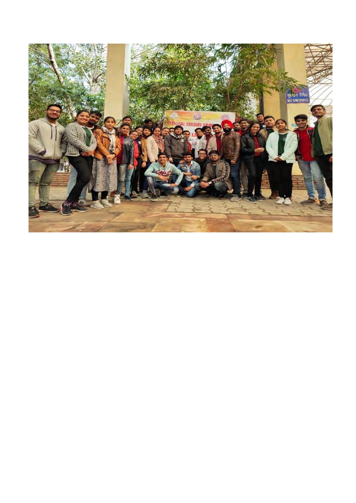